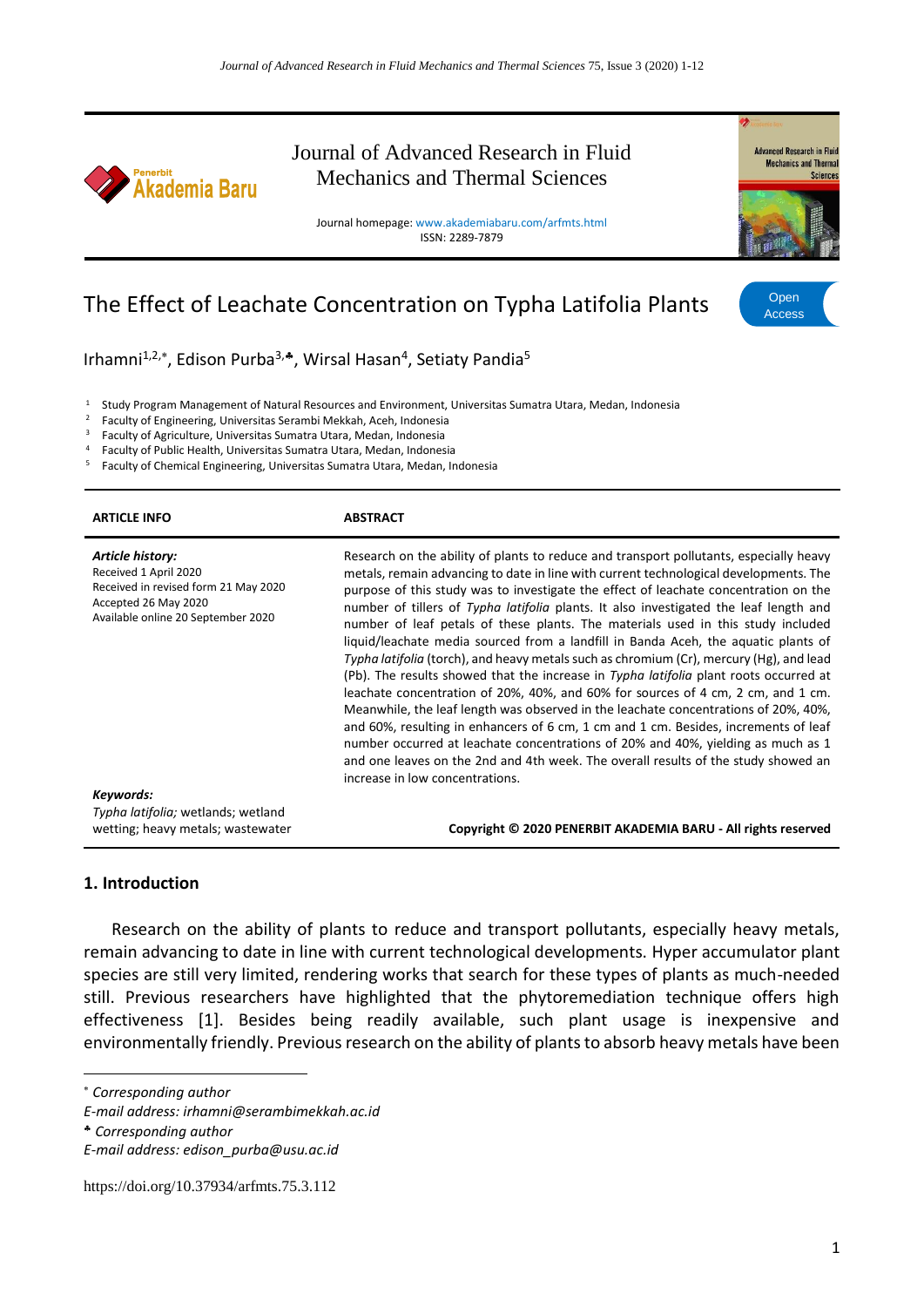

Journal of Advanced Research in Fluid Mechanics and Thermal Sciences

Journal homepage: www.akademiabaru.com/arfmts.html ISSN: 2289-7879



# The Effect of Leachate Concentration on Typha Latifolia Plants

Open Access

Irhamni<sup>1,2,\*</sup>, Edison Purba<sup>3,</sup>\*, Wirsal Hasan<sup>4</sup>, Setiaty Pandia<sup>5</sup>

<sup>1</sup> Study Program Management of Natural Resources and Environment, Universitas Sumatra Utara, Medan, Indonesia

<sup>2</sup> Faculty of Engineering, Universitas Serambi Mekkah, Aceh, Indonesia<br><sup>3</sup> Engultu of Agriculture, Universites Sumatra Utara, Madan, Indonesia

<sup>3</sup> Faculty of Agriculture, Universitas Sumatra Utara, Medan, Indonesia

4 Faculty of Public Health, Universitas Sumatra Utara, Medan, Indonesia<br>5 Eaculty of Chomical Engineering, Universitas Sumatra Utara, Modan, In

<sup>5</sup> Faculty of Chemical Engineering, Universitas Sumatra Utara, Medan, Indonesia

| <b>ARTICLE INFO</b>                                                                                                                             | <b>ABSTRACT</b>                                                                                                                                                                                                                                                                                                                                                                                                                                                                                                                                                                                                                                                                                                                                                                                                                                                                                                                                                                                                                                                                                                                                                                                               |
|-------------------------------------------------------------------------------------------------------------------------------------------------|---------------------------------------------------------------------------------------------------------------------------------------------------------------------------------------------------------------------------------------------------------------------------------------------------------------------------------------------------------------------------------------------------------------------------------------------------------------------------------------------------------------------------------------------------------------------------------------------------------------------------------------------------------------------------------------------------------------------------------------------------------------------------------------------------------------------------------------------------------------------------------------------------------------------------------------------------------------------------------------------------------------------------------------------------------------------------------------------------------------------------------------------------------------------------------------------------------------|
| Article history:<br>Received 1 April 2020<br>Received in revised form 21 May 2020<br>Accepted 26 May 2020<br>Available online 20 September 2020 | Research on the ability of plants to reduce and transport pollutants, especially heavy<br>metals, remain advancing to date in line with current technological developments. The<br>purpose of this study was to investigate the effect of leachate concentration on the<br>number of tillers of Typha latifolia plants. It also investigated the leaf length and<br>number of leaf petals of these plants. The materials used in this study included<br>liquid/leachate media sourced from a landfill in Banda Aceh, the aquatic plants of<br>Typha latifolia (torch), and heavy metals such as chromium (Cr), mercury (Hg), and lead<br>(Pb). The results showed that the increase in Typha latifolia plant roots occurred at<br>leachate concentration of 20%, 40%, and 60% for sources of 4 cm, 2 cm, and 1 cm.<br>Meanwhile, the leaf length was observed in the leachate concentrations of 20%, 40%,<br>and 60%, resulting in enhancers of 6 cm, 1 cm and 1 cm. Besides, increments of leaf<br>number occurred at leachate concentrations of 20% and 40%, yielding as much as 1<br>and one leaves on the 2nd and 4th week. The overall results of the study showed an<br>increase in low concentrations. |
| Keywords:                                                                                                                                       |                                                                                                                                                                                                                                                                                                                                                                                                                                                                                                                                                                                                                                                                                                                                                                                                                                                                                                                                                                                                                                                                                                                                                                                                               |
| Typha latifolia; wetlands; wetland<br>wetting; heavy metals; wastewater                                                                         | Copyright © 2020 PENERBIT AKADEMIA BARU - All rights reserved                                                                                                                                                                                                                                                                                                                                                                                                                                                                                                                                                                                                                                                                                                                                                                                                                                                                                                                                                                                                                                                                                                                                                 |
|                                                                                                                                                 |                                                                                                                                                                                                                                                                                                                                                                                                                                                                                                                                                                                                                                                                                                                                                                                                                                                                                                                                                                                                                                                                                                                                                                                                               |

#### **1. Introduction**

Research on the ability of plants to reduce and transport pollutants, especially heavy metals, remain advancing to date in line with current technological developments. Hyper accumulator plant species are still very limited, rendering works that search for these types of plants as much-needed still. Previous researchers have highlighted that the phytoremediation technique offers high effectiveness [1]. Besides being readily available, such plant usage is inexpensive and environmentally friendly. Previous research on the ability of plants to absorb heavy metals have been

*Corresponding author*

1

*E-mail address: irhamni@serambimekkah.ac.id*

*Corresponding author*

*E-mail address: edison\_purba@usu.ac.id*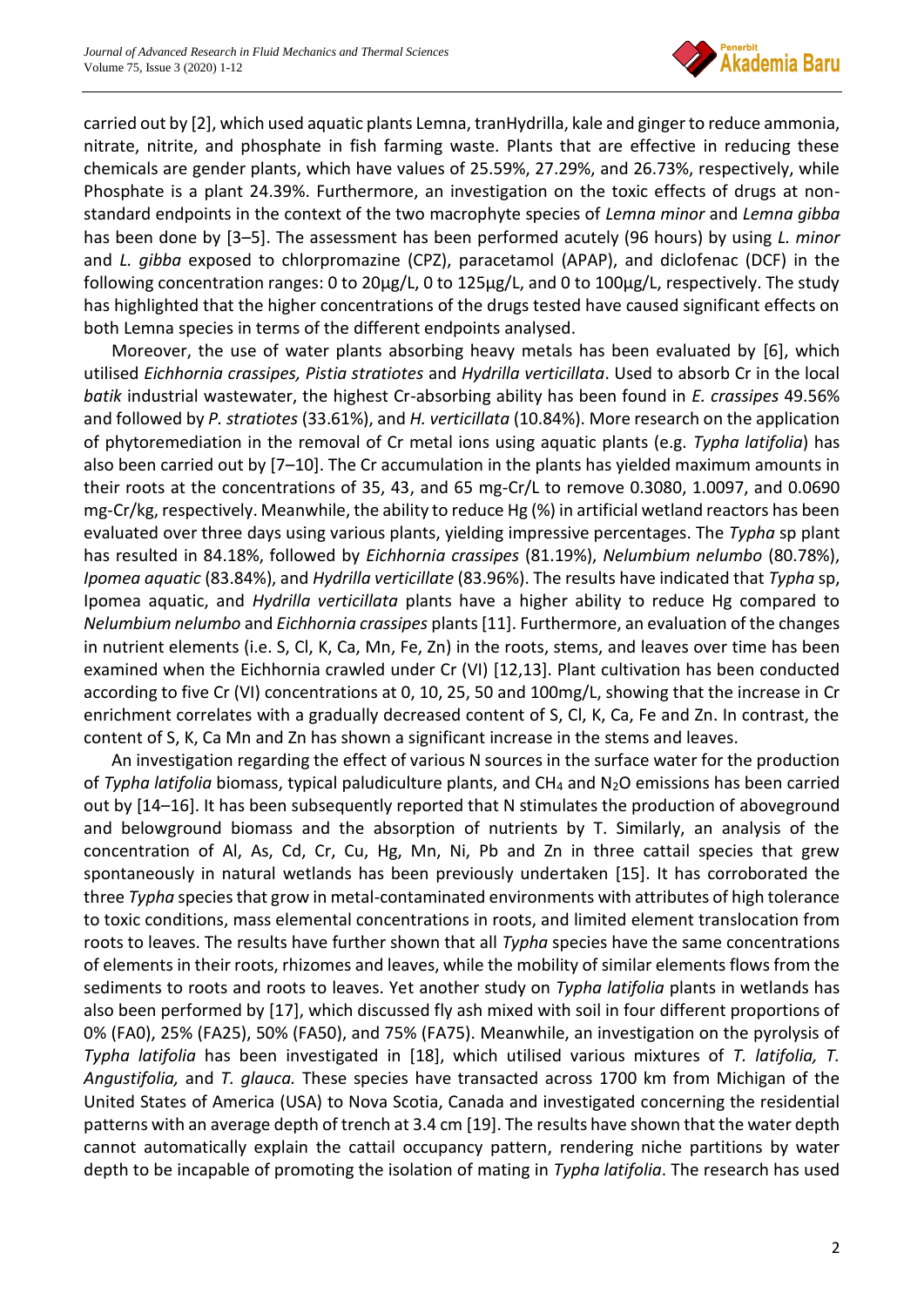

carried out by [2], which used aquatic plants Lemna, tranHydrilla, kale and ginger to reduce ammonia, nitrate, nitrite, and phosphate in fish farming waste. Plants that are effective in reducing these chemicals are gender plants, which have values of 25.59%, 27.29%, and 26.73%, respectively, while Phosphate is a plant 24.39%. Furthermore, an investigation on the toxic effects of drugs at nonstandard endpoints in the context of the two macrophyte species of *Lemna minor* and *Lemna gibba* has been done by [3–5]. The assessment has been performed acutely (96 hours) by using *L. minor* and *L. gibba* exposed to chlorpromazine (CPZ), paracetamol (APAP), and diclofenac (DCF) in the following concentration ranges: 0 to 20μg/L, 0 to 125μg/L, and 0 to 100μg/L, respectively. The study has highlighted that the higher concentrations of the drugs tested have caused significant effects on both Lemna species in terms of the different endpoints analysed.

Moreover, the use of water plants absorbing heavy metals has been evaluated by [6], which utilised *Eichhornia crassipes, Pistia stratiotes* and *Hydrilla verticillata*. Used to absorb Cr in the local *batik* industrial wastewater, the highest Cr-absorbing ability has been found in *E. crassipes* 49.56% and followed by *P. stratiotes* (33.61%), and *H. verticillata* (10.84%). More research on the application of phytoremediation in the removal of Cr metal ions using aquatic plants (e.g. *Typha latifolia*) has also been carried out by [7–10]. The Cr accumulation in the plants has yielded maximum amounts in their roots at the concentrations of 35, 43, and 65 mg-Cr/L to remove 0.3080, 1.0097, and 0.0690 mg-Cr/kg, respectively. Meanwhile, the ability to reduce Hg (%) in artificial wetland reactors has been evaluated over three days using various plants, yielding impressive percentages. The *Typha* sp plant has resulted in 84.18%, followed by *Eichhornia crassipes* (81.19%), *Nelumbium nelumbo* (80.78%), *Ipomea aquatic* (83.84%), and *Hydrilla verticillate* (83.96%). The results have indicated that *Typha* sp, Ipomea aquatic, and *Hydrilla verticillata* plants have a higher ability to reduce Hg compared to *Nelumbium nelumbo* and *Eichhornia crassipes* plants [11]. Furthermore, an evaluation of the changes in nutrient elements (i.e. S, Cl, K, Ca, Mn, Fe, Zn) in the roots, stems, and leaves over time has been examined when the Eichhornia crawled under Cr (VI) [12,13]. Plant cultivation has been conducted according to five Cr (VI) concentrations at 0, 10, 25, 50 and 100mg/L, showing that the increase in Cr enrichment correlates with a gradually decreased content of S, Cl, K, Ca, Fe and Zn. In contrast, the content of S, K, Ca Mn and Zn has shown a significant increase in the stems and leaves.

An investigation regarding the effect of various N sources in the surface water for the production of *Typha latifolia* biomass, typical paludiculture plants, and CH<sup>4</sup> and N2O emissions has been carried out by [14–16]. It has been subsequently reported that N stimulates the production of aboveground and belowground biomass and the absorption of nutrients by T. Similarly, an analysis of the concentration of Al, As, Cd, Cr, Cu, Hg, Mn, Ni, Pb and Zn in three cattail species that grew spontaneously in natural wetlands has been previously undertaken [15]. It has corroborated the three *Typha* species that grow in metal-contaminated environments with attributes of high tolerance to toxic conditions, mass elemental concentrations in roots, and limited element translocation from roots to leaves. The results have further shown that all *Typha* species have the same concentrations of elements in their roots, rhizomes and leaves, while the mobility of similar elements flows from the sediments to roots and roots to leaves. Yet another study on *Typha latifolia* plants in wetlands has also been performed by [17], which discussed fly ash mixed with soil in four different proportions of 0% (FA0), 25% (FA25), 50% (FA50), and 75% (FA75). Meanwhile, an investigation on the pyrolysis of *Typha latifolia* has been investigated in [18], which utilised various mixtures of *T. latifolia, T. Angustifolia,* and *T. glauca.* These species have transacted across 1700 km from Michigan of the United States of America (USA) to Nova Scotia, Canada and investigated concerning the residential patterns with an average depth of trench at 3.4 cm [19]. The results have shown that the water depth cannot automatically explain the cattail occupancy pattern, rendering niche partitions by water depth to be incapable of promoting the isolation of mating in *Typha latifolia*. The research has used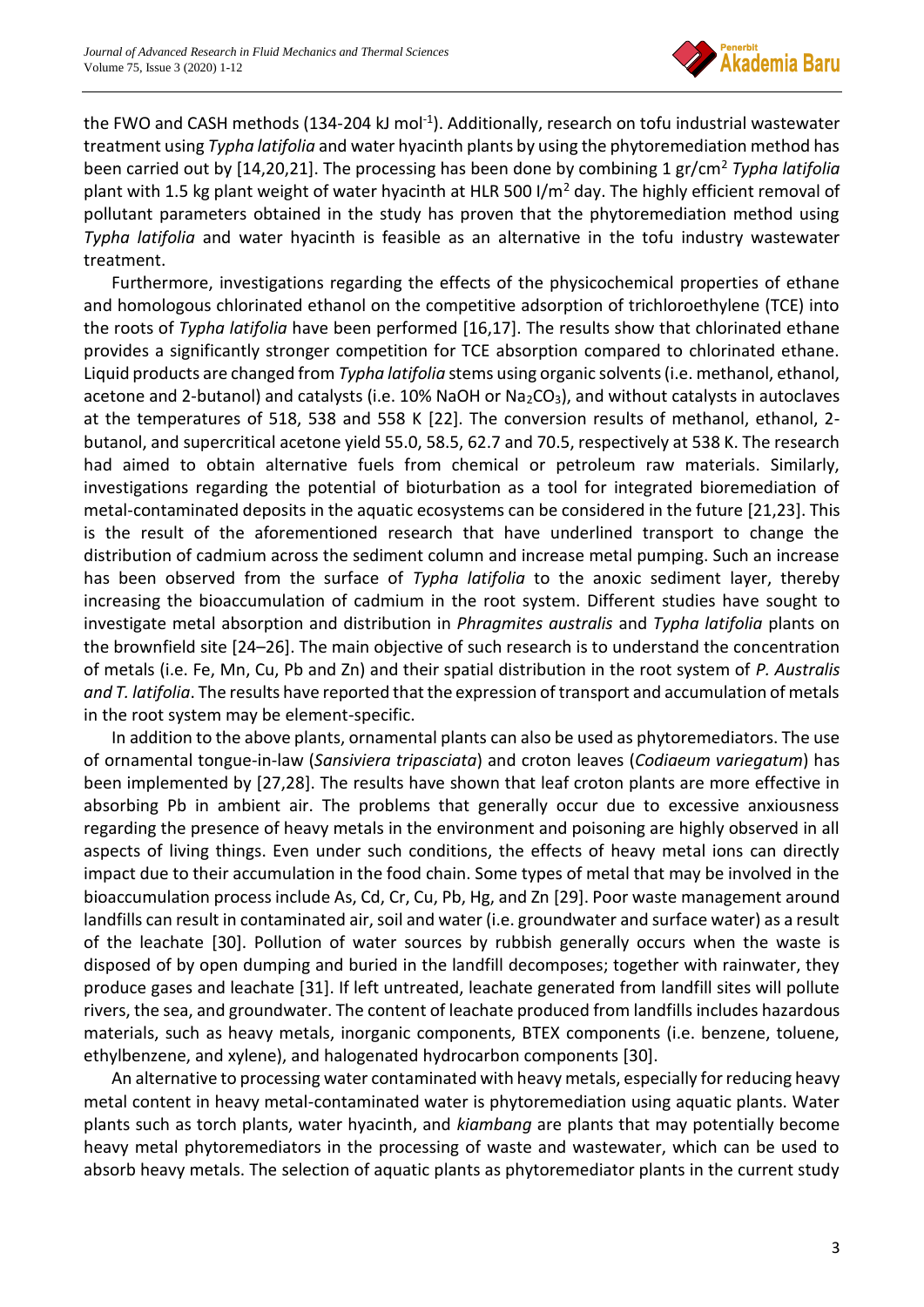

the FWO and CASH methods (134-204 kJ mol<sup>-1</sup>). Additionally, research on tofu industrial wastewater treatment using *Typha latifolia* and water hyacinth plants by using the phytoremediation method has been carried out by [14,20,21]. The processing has been done by combining 1 gr/cm<sup>2</sup> *Typha latifolia* plant with 1.5 kg plant weight of water hyacinth at HLR 500 I/m<sup>2</sup> day. The highly efficient removal of pollutant parameters obtained in the study has proven that the phytoremediation method using *Typha latifolia* and water hyacinth is feasible as an alternative in the tofu industry wastewater treatment.

Furthermore, investigations regarding the effects of the physicochemical properties of ethane and homologous chlorinated ethanol on the competitive adsorption of trichloroethylene (TCE) into the roots of *Typha latifolia* have been performed [16,17]. The results show that chlorinated ethane provides a significantly stronger competition for TCE absorption compared to chlorinated ethane. Liquid products are changed from *Typha latifolia* stems using organic solvents (i.e. methanol, ethanol, acetone and 2-butanol) and catalysts (i.e. 10% NaOH or Na<sub>2</sub>CO<sub>3</sub>), and without catalysts in autoclaves at the temperatures of 518, 538 and 558 K [22]. The conversion results of methanol, ethanol, 2 butanol, and supercritical acetone yield 55.0, 58.5, 62.7 and 70.5, respectively at 538 K. The research had aimed to obtain alternative fuels from chemical or petroleum raw materials. Similarly, investigations regarding the potential of bioturbation as a tool for integrated bioremediation of metal-contaminated deposits in the aquatic ecosystems can be considered in the future [21,23]. This is the result of the aforementioned research that have underlined transport to change the distribution of cadmium across the sediment column and increase metal pumping. Such an increase has been observed from the surface of *Typha latifolia* to the anoxic sediment layer, thereby increasing the bioaccumulation of cadmium in the root system. Different studies have sought to investigate metal absorption and distribution in *Phragmites australis* and *Typha latifolia* plants on the brownfield site [24–26]. The main objective of such research is to understand the concentration of metals (i.e. Fe, Mn, Cu, Pb and Zn) and their spatial distribution in the root system of *P. Australis and T. latifolia*. The results have reported that the expression of transport and accumulation of metals in the root system may be element-specific.

In addition to the above plants, ornamental plants can also be used as phytoremediators. The use of ornamental tongue-in-law (*Sansiviera tripasciata*) and croton leaves (*Codiaeum variegatum*) has been implemented by [27,28]. The results have shown that leaf croton plants are more effective in absorbing Pb in ambient air. The problems that generally occur due to excessive anxiousness regarding the presence of heavy metals in the environment and poisoning are highly observed in all aspects of living things. Even under such conditions, the effects of heavy metal ions can directly impact due to their accumulation in the food chain. Some types of metal that may be involved in the bioaccumulation process include As, Cd, Cr, Cu, Pb, Hg, and Zn [29]. Poor waste management around landfills can result in contaminated air, soil and water (i.e. groundwater and surface water) as a result of the leachate [30]. Pollution of water sources by rubbish generally occurs when the waste is disposed of by open dumping and buried in the landfill decomposes; together with rainwater, they produce gases and leachate [31]. If left untreated, leachate generated from landfill sites will pollute rivers, the sea, and groundwater. The content of leachate produced from landfills includes hazardous materials, such as heavy metals, inorganic components, BTEX components (i.e. benzene, toluene, ethylbenzene, and xylene), and halogenated hydrocarbon components [30].

An alternative to processing water contaminated with heavy metals, especially for reducing heavy metal content in heavy metal-contaminated water is phytoremediation using aquatic plants. Water plants such as torch plants, water hyacinth, and *kiambang* are plants that may potentially become heavy metal phytoremediators in the processing of waste and wastewater, which can be used to absorb heavy metals. The selection of aquatic plants as phytoremediator plants in the current study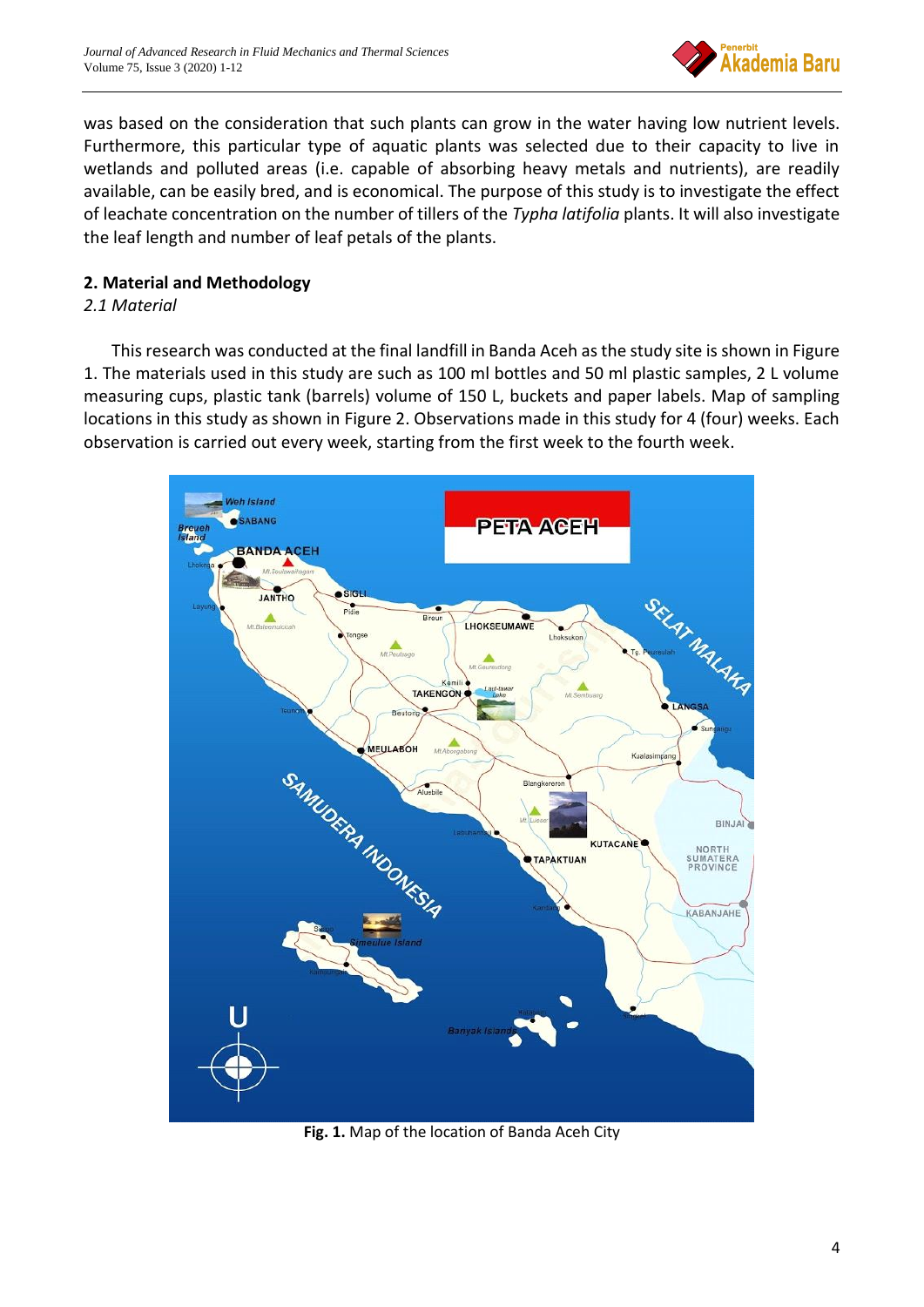

was based on the consideration that such plants can grow in the water having low nutrient levels. Furthermore, this particular type of aquatic plants was selected due to their capacity to live in wetlands and polluted areas (i.e. capable of absorbing heavy metals and nutrients), are readily available, can be easily bred, and is economical. The purpose of this study is to investigate the effect of leachate concentration on the number of tillers of the *Typha latifolia* plants. It will also investigate the leaf length and number of leaf petals of the plants.

# **2. Material and Methodology**

# *2.1 Material*

This research was conducted at the final landfill in Banda Aceh as the study site is shown in Figure 1. The materials used in this study are such as 100 ml bottles and 50 ml plastic samples, 2 L volume measuring cups, plastic tank (barrels) volume of 150 L, buckets and paper labels. Map of sampling locations in this study as shown in Figure 2. Observations made in this study for 4 (four) weeks. Each observation is carried out every week, starting from the first week to the fourth week.



**Fig. 1.** Map of the location of Banda Aceh City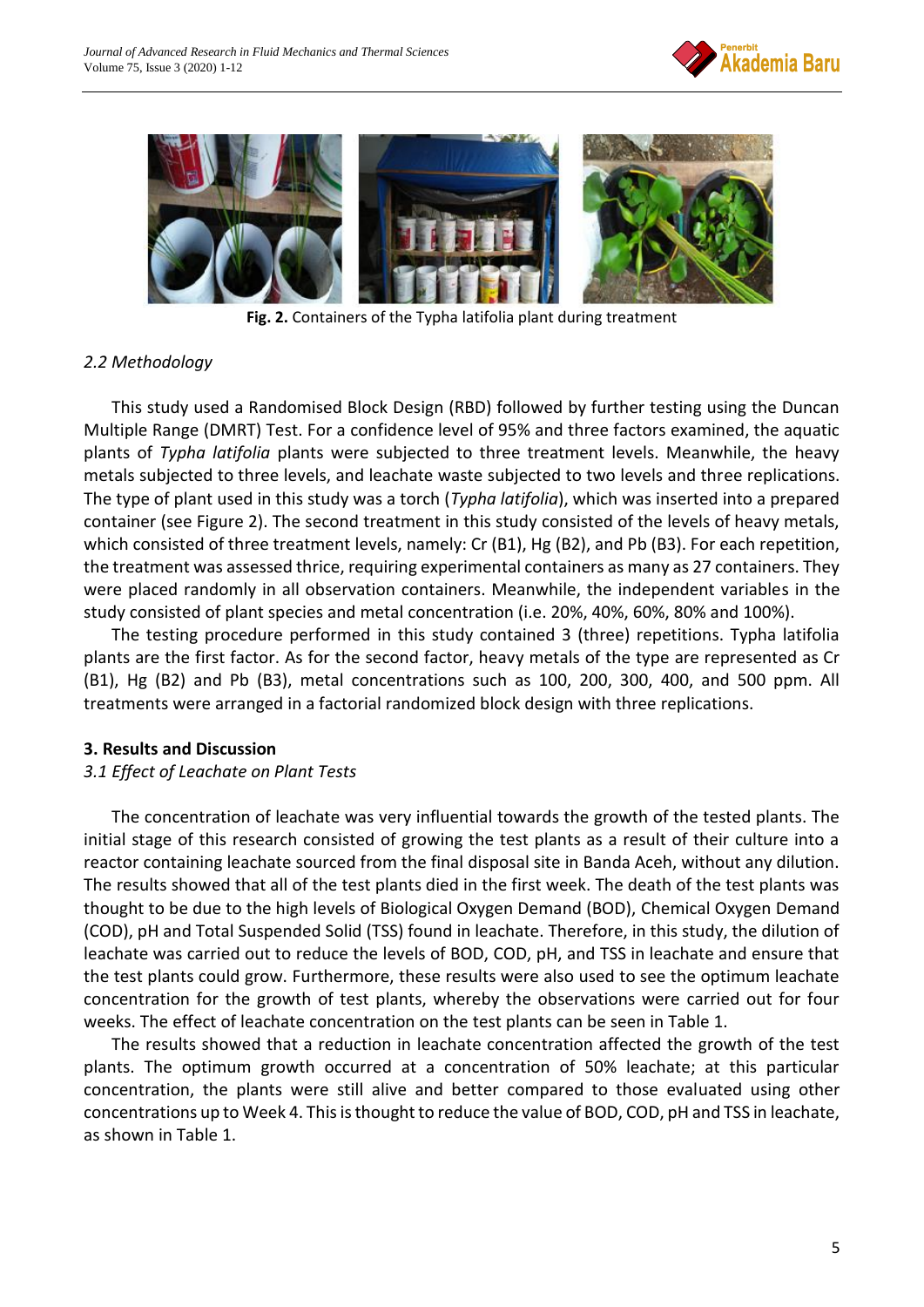



**Fig. 2.** Containers of the Typha latifolia plant during treatment

## *2.2 Methodology*

This study used a Randomised Block Design (RBD) followed by further testing using the Duncan Multiple Range (DMRT) Test. For a confidence level of 95% and three factors examined, the aquatic plants of *Typha latifolia* plants were subjected to three treatment levels. Meanwhile, the heavy metals subjected to three levels, and leachate waste subjected to two levels and three replications. The type of plant used in this study was a torch (*Typha latifolia*), which was inserted into a prepared container (see Figure 2). The second treatment in this study consisted of the levels of heavy metals, which consisted of three treatment levels, namely: Cr (B1), Hg (B2), and Pb (B3). For each repetition, the treatment was assessed thrice, requiring experimental containers as many as 27 containers. They were placed randomly in all observation containers. Meanwhile, the independent variables in the study consisted of plant species and metal concentration (i.e. 20%, 40%, 60%, 80% and 100%).

The testing procedure performed in this study contained 3 (three) repetitions. Typha latifolia plants are the first factor. As for the second factor, heavy metals of the type are represented as Cr (B1), Hg (B2) and Pb (B3), metal concentrations such as 100, 200, 300, 400, and 500 ppm. All treatments were arranged in a factorial randomized block design with three replications.

#### **3. Results and Discussion**

## *3.1 Effect of Leachate on Plant Tests*

The concentration of leachate was very influential towards the growth of the tested plants. The initial stage of this research consisted of growing the test plants as a result of their culture into a reactor containing leachate sourced from the final disposal site in Banda Aceh, without any dilution. The results showed that all of the test plants died in the first week. The death of the test plants was thought to be due to the high levels of Biological Oxygen Demand (BOD), Chemical Oxygen Demand (COD), pH and Total Suspended Solid (TSS) found in leachate. Therefore, in this study, the dilution of leachate was carried out to reduce the levels of BOD, COD, pH, and TSS in leachate and ensure that the test plants could grow. Furthermore, these results were also used to see the optimum leachate concentration for the growth of test plants, whereby the observations were carried out for four weeks. The effect of leachate concentration on the test plants can be seen in Table 1.

The results showed that a reduction in leachate concentration affected the growth of the test plants. The optimum growth occurred at a concentration of 50% leachate; at this particular concentration, the plants were still alive and better compared to those evaluated using other concentrations up to Week 4. This is thought to reduce the value of BOD, COD, pH and TSS in leachate, as shown in Table 1.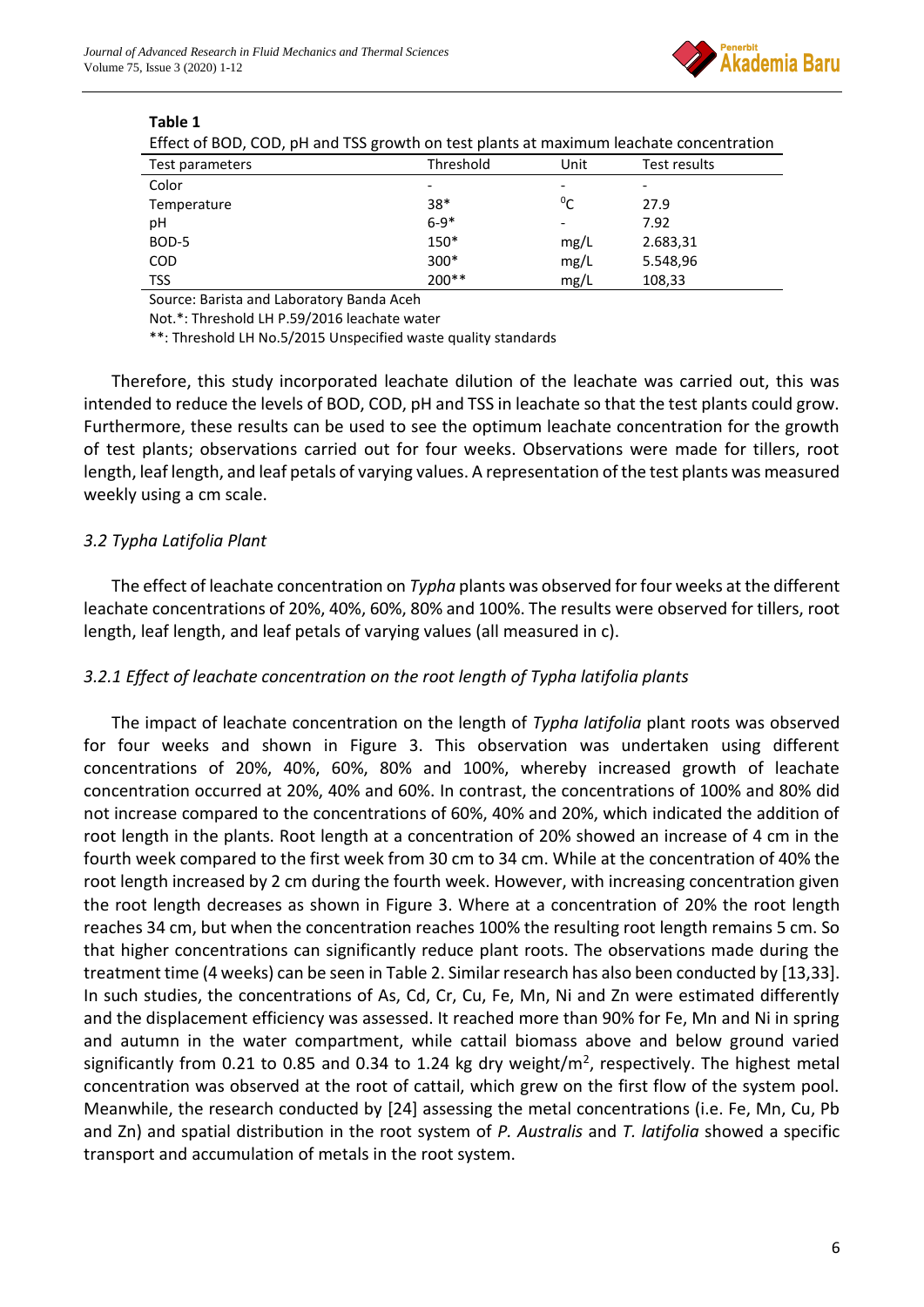

| Effect of BOD, COD, pH and 1SS growth on test plants at maximum leachate concentration |           |             |                          |  |  |
|----------------------------------------------------------------------------------------|-----------|-------------|--------------------------|--|--|
| Test parameters                                                                        | Threshold | Unit        | Test results             |  |  |
| Color                                                                                  |           |             | $\overline{\phantom{a}}$ |  |  |
| Temperature                                                                            | $38*$     | $\rm ^{0}C$ | 27.9                     |  |  |
| рH                                                                                     | $6 - 9*$  |             | 7.92                     |  |  |
| BOD-5                                                                                  | 150*      | mg/L        | 2.683,31                 |  |  |
| <b>COD</b>                                                                             | $300*$    | mg/L        | 5.548,96                 |  |  |
| <b>TSS</b>                                                                             | $200**$   | mg/L        | 108,33                   |  |  |

#### **Table 1**

Effect of BOD, COD, pH and TSS growth on test plants at maximum leachate concentration

Source: Barista and Laboratory Banda Aceh

Not.\*: Threshold LH P.59/2016 leachate water

\*\*: Threshold LH No.5/2015 Unspecified waste quality standards

Therefore, this study incorporated leachate dilution of the leachate was carried out, this was intended to reduce the levels of BOD, COD, pH and TSS in leachate so that the test plants could grow. Furthermore, these results can be used to see the optimum leachate concentration for the growth of test plants; observations carried out for four weeks. Observations were made for tillers, root length, leaf length, and leaf petals of varying values. A representation of the test plants was measured weekly using a cm scale.

## *3.2 Typha Latifolia Plant*

The effect of leachate concentration on *Typha* plants was observed for four weeks at the different leachate concentrations of 20%, 40%, 60%, 80% and 100%. The results were observed for tillers, root length, leaf length, and leaf petals of varying values (all measured in c).

## *3.2.1 Effect of leachate concentration on the root length of Typha latifolia plants*

The impact of leachate concentration on the length of *Typha latifolia* plant roots was observed for four weeks and shown in Figure 3. This observation was undertaken using different concentrations of 20%, 40%, 60%, 80% and 100%, whereby increased growth of leachate concentration occurred at 20%, 40% and 60%. In contrast, the concentrations of 100% and 80% did not increase compared to the concentrations of 60%, 40% and 20%, which indicated the addition of root length in the plants. Root length at a concentration of 20% showed an increase of 4 cm in the fourth week compared to the first week from 30 cm to 34 cm. While at the concentration of 40% the root length increased by 2 cm during the fourth week. However, with increasing concentration given the root length decreases as shown in Figure 3. Where at a concentration of 20% the root length reaches 34 cm, but when the concentration reaches 100% the resulting root length remains 5 cm. So that higher concentrations can significantly reduce plant roots. The observations made during the treatment time (4 weeks) can be seen in Table 2. Similar research has also been conducted by [13,33]. In such studies, the concentrations of As, Cd, Cr, Cu, Fe, Mn, Ni and Zn were estimated differently and the displacement efficiency was assessed. It reached more than 90% for Fe, Mn and Ni in spring and autumn in the water compartment, while cattail biomass above and below ground varied significantly from 0.21 to 0.85 and 0.34 to 1.24 kg dry weight/ $m^2$ , respectively. The highest metal concentration was observed at the root of cattail, which grew on the first flow of the system pool. Meanwhile, the research conducted by [24] assessing the metal concentrations (i.e. Fe, Mn, Cu, Pb and Zn) and spatial distribution in the root system of *P. Australis* and *T. latifolia* showed a specific transport and accumulation of metals in the root system.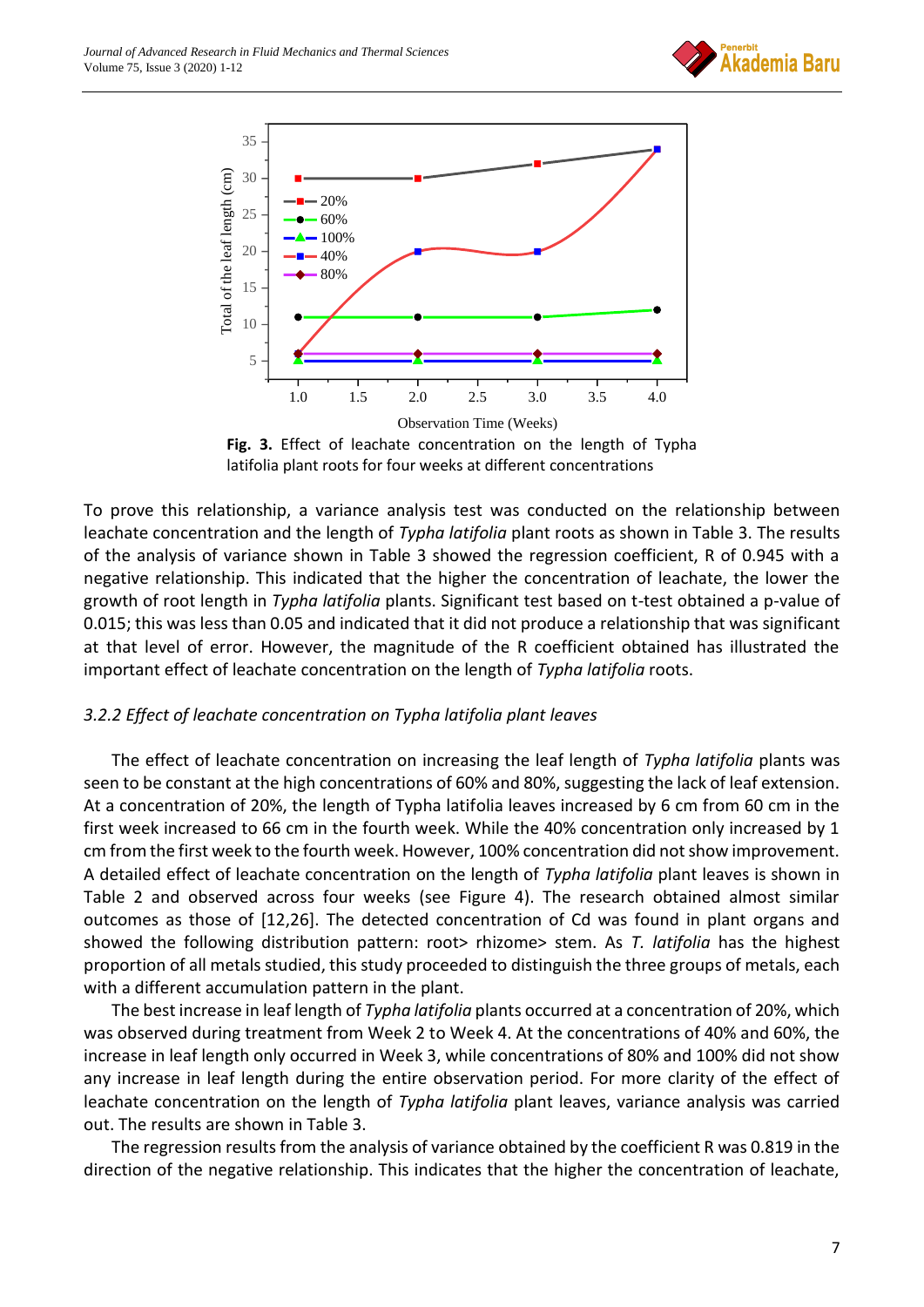



**Fig. 3.** Effect of leachate concentration on the length of Typha latifolia plant roots for four weeks at different concentrations

To prove this relationship, a variance analysis test was conducted on the relationship between leachate concentration and the length of *Typha latifolia* plant roots as shown in Table 3. The results of the analysis of variance shown in Table 3 showed the regression coefficient, R of 0.945 with a negative relationship. This indicated that the higher the concentration of leachate, the lower the growth of root length in *Typha latifolia* plants. Significant test based on t-test obtained a p-value of 0.015; this was less than 0.05 and indicated that it did not produce a relationship that was significant at that level of error. However, the magnitude of the R coefficient obtained has illustrated the important effect of leachate concentration on the length of *Typha latifolia* roots.

## *3.2.2 Effect of leachate concentration on Typha latifolia plant leaves*

The effect of leachate concentration on increasing the leaf length of *Typha latifolia* plants was seen to be constant at the high concentrations of 60% and 80%, suggesting the lack of leaf extension. At a concentration of 20%, the length of Typha latifolia leaves increased by 6 cm from 60 cm in the first week increased to 66 cm in the fourth week. While the 40% concentration only increased by 1 cm from the first week to the fourth week. However, 100% concentration did not show improvement. A detailed effect of leachate concentration on the length of *Typha latifolia* plant leaves is shown in Table 2 and observed across four weeks (see Figure 4). The research obtained almost similar outcomes as those of [12,26]. The detected concentration of Cd was found in plant organs and showed the following distribution pattern: root> rhizome> stem. As *T. latifolia* has the highest proportion of all metals studied, this study proceeded to distinguish the three groups of metals, each with a different accumulation pattern in the plant.

The best increase in leaf length of *Typha latifolia* plants occurred at a concentration of 20%, which was observed during treatment from Week 2 to Week 4. At the concentrations of 40% and 60%, the increase in leaf length only occurred in Week 3, while concentrations of 80% and 100% did not show any increase in leaf length during the entire observation period. For more clarity of the effect of leachate concentration on the length of *Typha latifolia* plant leaves, variance analysis was carried out. The results are shown in Table 3.

The regression results from the analysis of variance obtained by the coefficient R was 0.819 in the direction of the negative relationship. This indicates that the higher the concentration of leachate,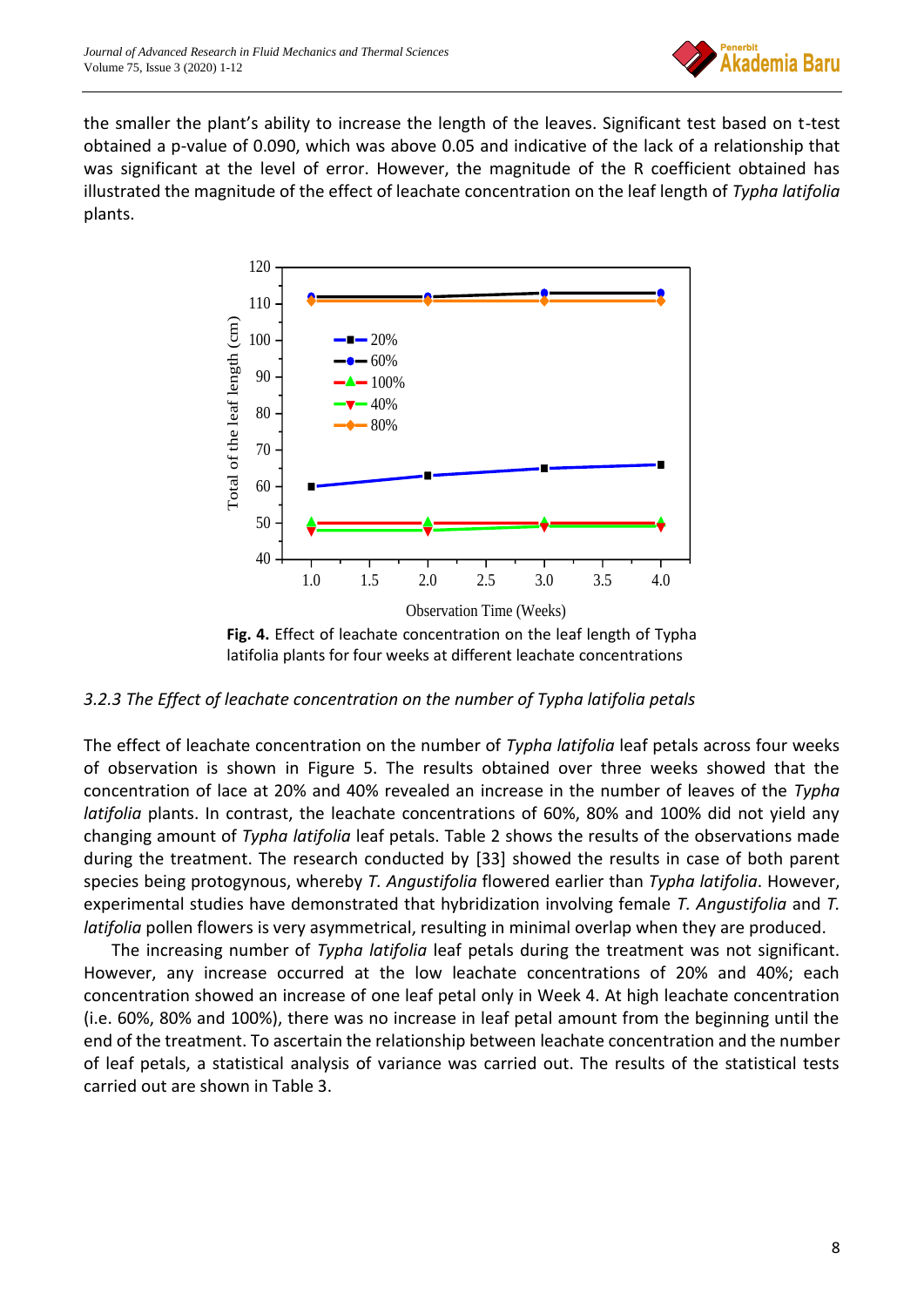

the smaller the plant's ability to increase the length of the leaves. Significant test based on t-test obtained a p-value of 0.090, which was above 0.05 and indicative of the lack of a relationship that was significant at the level of error. However, the magnitude of the R coefficient obtained has illustrated the magnitude of the effect of leachate concentration on the leaf length of *Typha latifolia* plants.



*3.2.3 The Effect of leachate concentration on the number of Typha latifolia petals*

The effect of leachate concentration on the number of *Typha latifolia* leaf petals across four weeks of observation is shown in Figure 5. The results obtained over three weeks showed that the concentration of lace at 20% and 40% revealed an increase in the number of leaves of the *Typha latifolia* plants. In contrast, the leachate concentrations of 60%, 80% and 100% did not yield any changing amount of *Typha latifolia* leaf petals. Table 2 shows the results of the observations made during the treatment. The research conducted by [33] showed the results in case of both parent species being protogynous, whereby *T. Angustifolia* flowered earlier than *Typha latifolia*. However, experimental studies have demonstrated that hybridization involving female *T. Angustifolia* and *T. latifolia* pollen flowers is very asymmetrical, resulting in minimal overlap when they are produced.

The increasing number of *Typha latifolia* leaf petals during the treatment was not significant. However, any increase occurred at the low leachate concentrations of 20% and 40%; each concentration showed an increase of one leaf petal only in Week 4. At high leachate concentration (i.e. 60%, 80% and 100%), there was no increase in leaf petal amount from the beginning until the end of the treatment. To ascertain the relationship between leachate concentration and the number of leaf petals, a statistical analysis of variance was carried out. The results of the statistical tests carried out are shown in Table 3.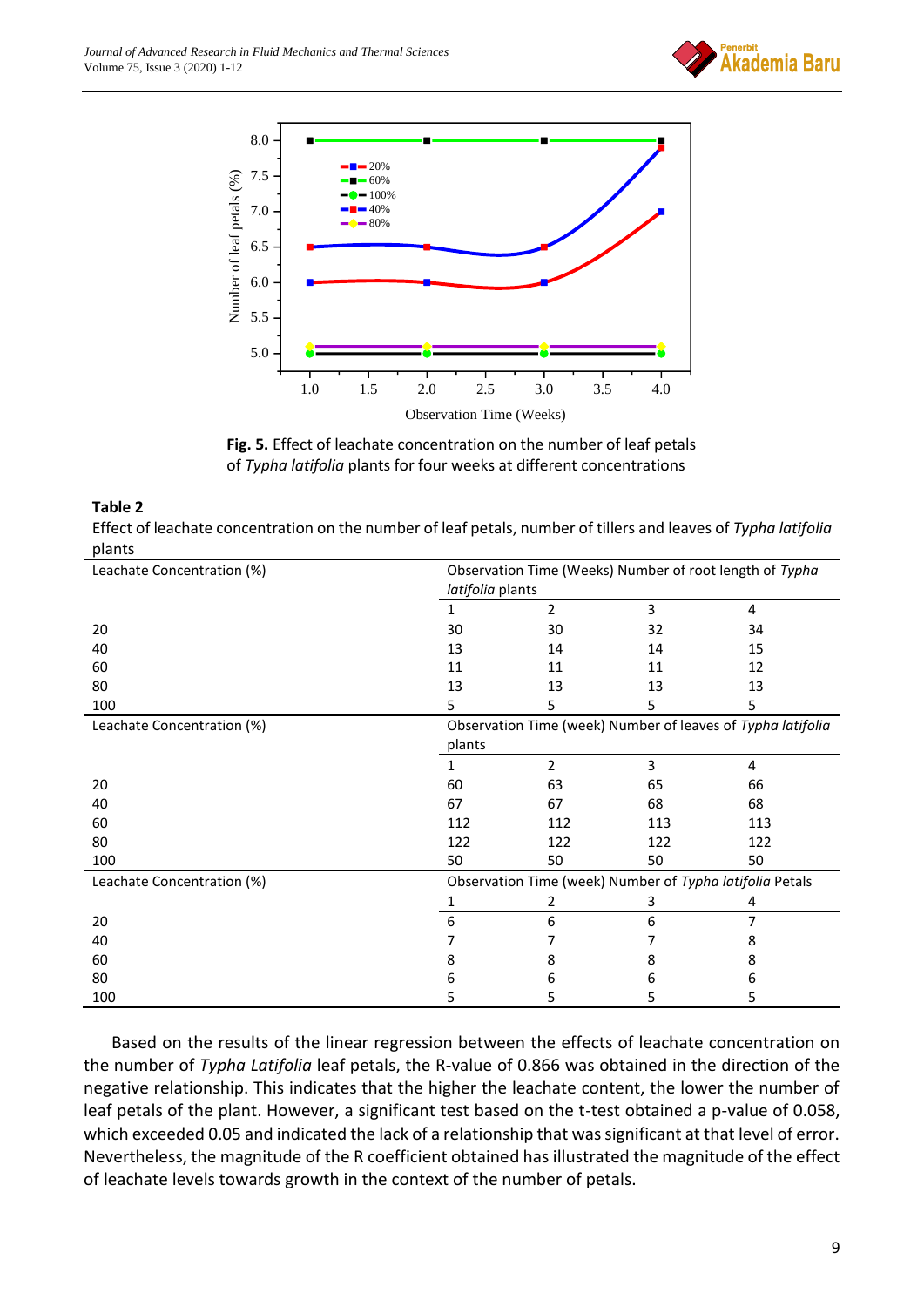



**Fig. 5.** Effect of leachate concentration on the number of leaf petals of *Typha latifolia* plants for four weeks at different concentrations

#### **Table 2**

Effect of leachate concentration on the number of leaf petals, number of tillers and leaves of *Typha latifolia* plants

| Leachate Concentration (%) | Observation Time (Weeks) Number of root length of Typha<br>latifolia plants |                                                          |     |     |  |  |
|----------------------------|-----------------------------------------------------------------------------|----------------------------------------------------------|-----|-----|--|--|
|                            |                                                                             | $\overline{2}$                                           | 3   | 4   |  |  |
| 20                         | 30                                                                          | 30                                                       | 32  | 34  |  |  |
| 40                         | 13                                                                          | 14                                                       | 14  | 15  |  |  |
| 60                         | 11                                                                          | 11                                                       | 11  | 12  |  |  |
| 80                         | 13                                                                          | 13                                                       | 13  | 13  |  |  |
| 100                        | 5                                                                           | 5                                                        | 5   | 5   |  |  |
| Leachate Concentration (%) | Observation Time (week) Number of leaves of Typha latifolia                 |                                                          |     |     |  |  |
|                            | plants                                                                      |                                                          |     |     |  |  |
|                            | 1                                                                           | $\overline{2}$                                           | 3   | 4   |  |  |
| 20                         | 60                                                                          | 63                                                       | 65  | 66  |  |  |
| 40                         | 67                                                                          | 67                                                       | 68  | 68  |  |  |
| 60                         | 112                                                                         | 112                                                      | 113 | 113 |  |  |
| 80                         | 122                                                                         | 122                                                      | 122 | 122 |  |  |
| 100                        | 50                                                                          | 50                                                       | 50  | 50  |  |  |
| Leachate Concentration (%) |                                                                             | Observation Time (week) Number of Typha latifolia Petals |     |     |  |  |
|                            |                                                                             | 2                                                        | 3   | 4   |  |  |
| 20                         | 6                                                                           | 6                                                        | 6   | 7   |  |  |
| 40                         |                                                                             |                                                          |     | 8   |  |  |
| 60                         | 8                                                                           | 8                                                        | 8   | 8   |  |  |
| 80                         | ь                                                                           | 6                                                        | 6   | 6   |  |  |
| 100                        | 5                                                                           | 5                                                        | 5   | 5   |  |  |

Based on the results of the linear regression between the effects of leachate concentration on the number of *Typha Latifolia* leaf petals, the R-value of 0.866 was obtained in the direction of the negative relationship. This indicates that the higher the leachate content, the lower the number of leaf petals of the plant. However, a significant test based on the t-test obtained a p-value of 0.058, which exceeded 0.05 and indicated the lack of a relationship that was significant at that level of error. Nevertheless, the magnitude of the R coefficient obtained has illustrated the magnitude of the effect of leachate levels towards growth in the context of the number of petals.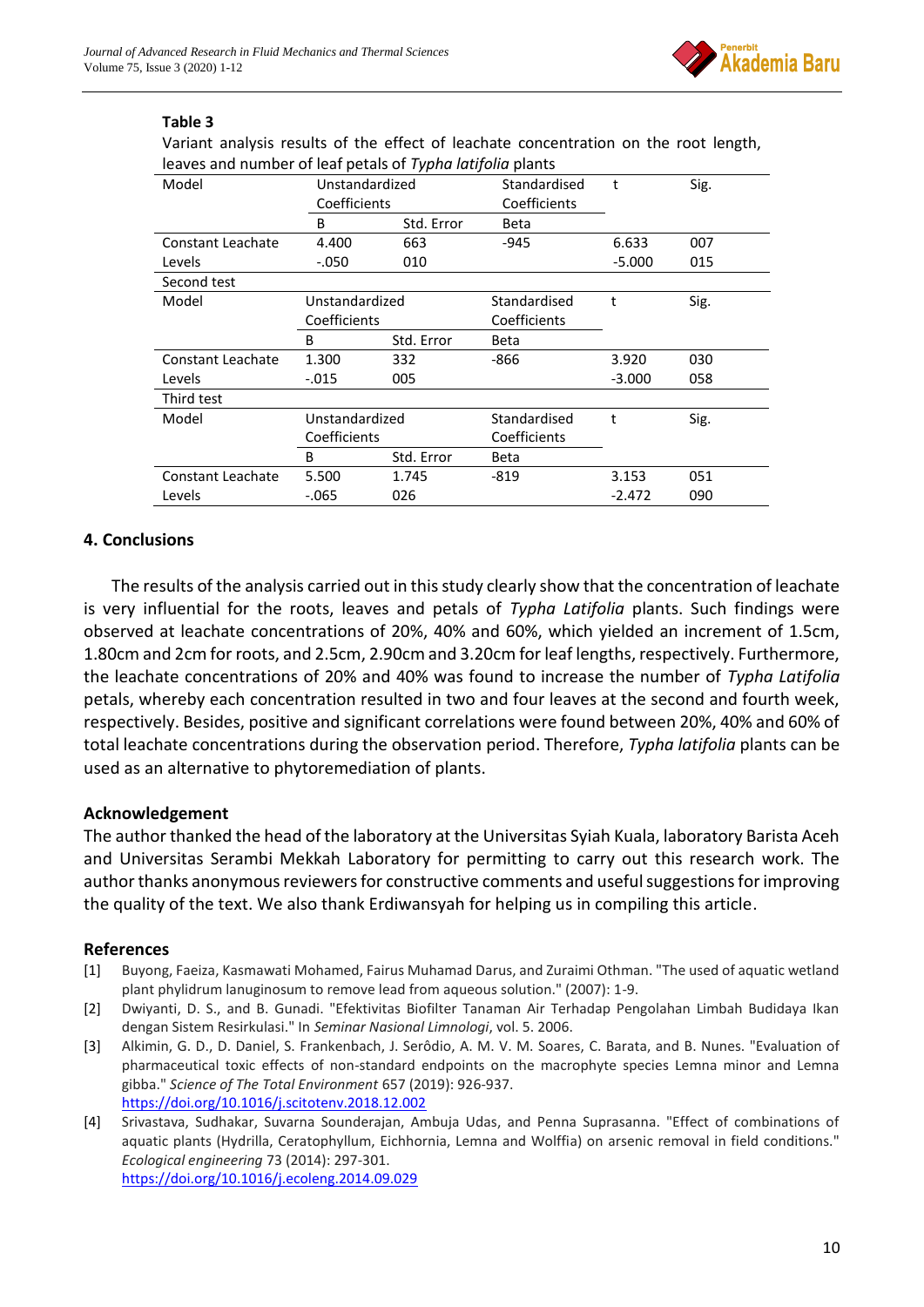

# **Table 3**

Variant analysis results of the effect of leachate concentration on the root length, leaves and number of leaf petals of *Typha latifolia* plants

|                          |                | , ,        |              |          |      |
|--------------------------|----------------|------------|--------------|----------|------|
| Model                    | Unstandardized |            | Standardised | t        | Sig. |
|                          | Coefficients   |            | Coefficients |          |      |
|                          | B              | Std. Error | <b>Beta</b>  |          |      |
| <b>Constant Leachate</b> | 4.400          | 663        | $-945$       | 6.633    | 007  |
| Levels                   | $-.050$        | 010        |              | $-5.000$ | 015  |
| Second test              |                |            |              |          |      |
| Model                    | Unstandardized |            | Standardised | t        | Sig. |
|                          | Coefficients   |            | Coefficients |          |      |
|                          | B              | Std. Error | <b>Beta</b>  |          |      |
| Constant Leachate        | 1.300          | 332        | -866         | 3.920    | 030  |
| Levels                   | $-0.015$       | 005        |              | $-3.000$ | 058  |
| Third test               |                |            |              |          |      |
| Model                    | Unstandardized |            | Standardised | t        | Sig. |
|                          | Coefficients   |            | Coefficients |          |      |
|                          | B              | Std. Error | Beta         |          |      |
| Constant Leachate        | 5.500          | 1.745      | $-819$       | 3.153    | 051  |
| Levels                   | $-0.065$       | 026        |              | $-2.472$ | 090  |

# **4. Conclusions**

The results of the analysis carried out in this study clearly show that the concentration of leachate is very influential for the roots, leaves and petals of *Typha Latifolia* plants. Such findings were observed at leachate concentrations of 20%, 40% and 60%, which yielded an increment of 1.5cm, 1.80cm and 2cm for roots, and 2.5cm, 2.90cm and 3.20cm for leaf lengths, respectively. Furthermore, the leachate concentrations of 20% and 40% was found to increase the number of *Typha Latifolia* petals, whereby each concentration resulted in two and four leaves at the second and fourth week, respectively. Besides, positive and significant correlations were found between 20%, 40% and 60% of total leachate concentrations during the observation period. Therefore, *Typha latifolia* plants can be used as an alternative to phytoremediation of plants.

## **Acknowledgement**

The author thanked the head of the laboratory at the Universitas Syiah Kuala, laboratory Barista Aceh and Universitas Serambi Mekkah Laboratory for permitting to carry out this research work. The author thanks anonymous reviewers for constructive comments and useful suggestions for improving the quality of the text. We also thank Erdiwansyah for helping us in compiling this article.

## **References**

- [1] Buyong, Faeiza, Kasmawati Mohamed, Fairus Muhamad Darus, and Zuraimi Othman. "The used of aquatic wetland plant phylidrum lanuginosum to remove lead from aqueous solution." (2007): 1-9.
- [2] Dwiyanti, D. S., and B. Gunadi. "Efektivitas Biofilter Tanaman Air Terhadap Pengolahan Limbah Budidaya Ikan dengan Sistem Resirkulasi." In *Seminar Nasional Limnologi*, vol. 5. 2006.
- [3] Alkimin, G. D., D. Daniel, S. Frankenbach, J. Serôdio, A. M. V. M. Soares, C. Barata, and B. Nunes. "Evaluation of pharmaceutical toxic effects of non-standard endpoints on the macrophyte species Lemna minor and Lemna gibba." *Science of The Total Environment* 657 (2019): 926-937. <https://doi.org/10.1016/j.scitotenv.2018.12.002>
- [4] Srivastava, Sudhakar, Suvarna Sounderajan, Ambuja Udas, and Penna Suprasanna. "Effect of combinations of aquatic plants (Hydrilla, Ceratophyllum, Eichhornia, Lemna and Wolffia) on arsenic removal in field conditions." *Ecological engineering* 73 (2014): 297-301. <https://doi.org/10.1016/j.ecoleng.2014.09.029>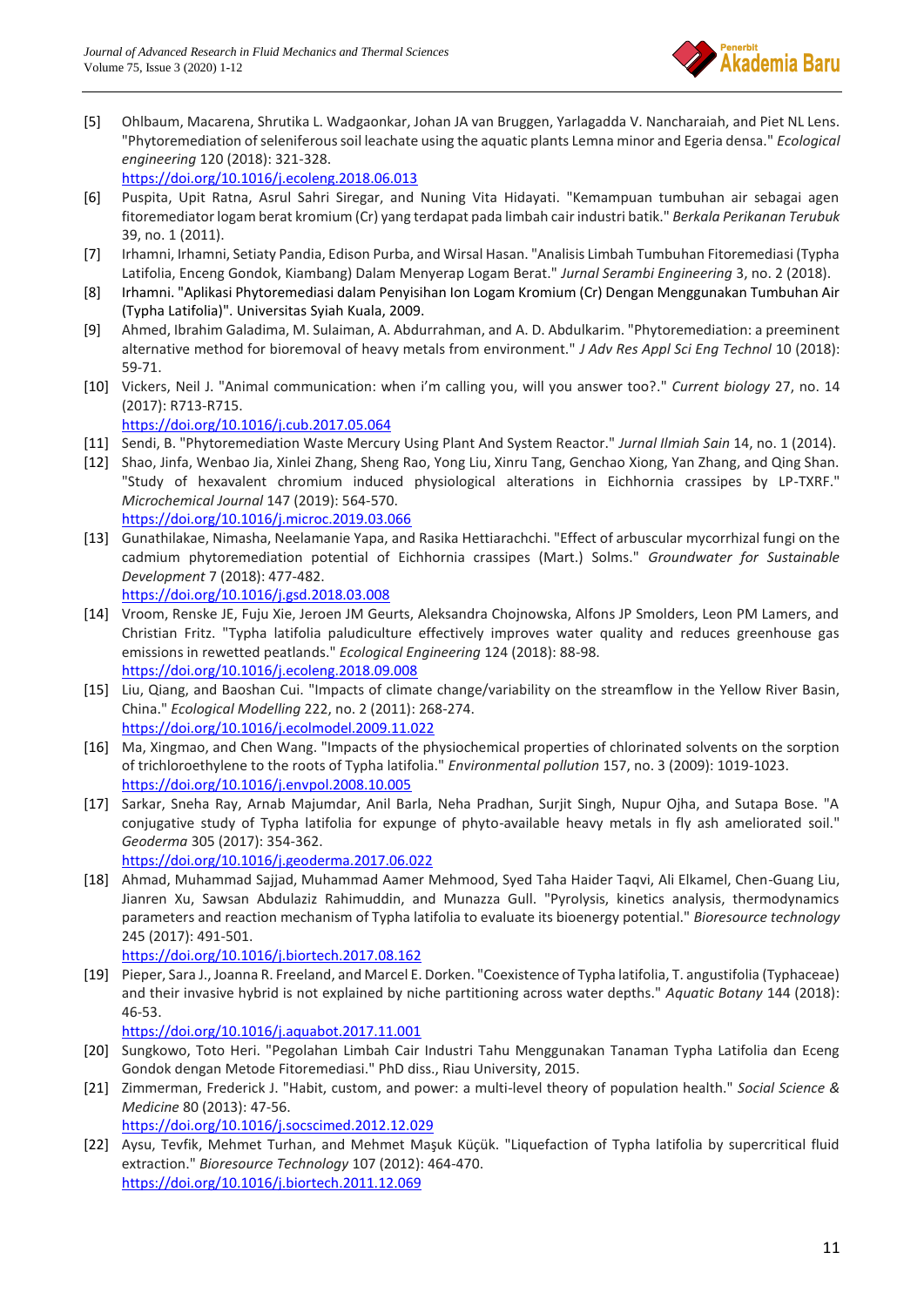

[5] Ohlbaum, Macarena, Shrutika L. Wadgaonkar, Johan JA van Bruggen, Yarlagadda V. Nancharaiah, and Piet NL Lens. "Phytoremediation of seleniferous soil leachate using the aquatic plants Lemna minor and Egeria densa." *Ecological engineering* 120 (2018): 321-328.

<https://doi.org/10.1016/j.ecoleng.2018.06.013>

- [6] Puspita, Upit Ratna, Asrul Sahri Siregar, and Nuning Vita Hidayati. "Kemampuan tumbuhan air sebagai agen fitoremediator logam berat kromium (Cr) yang terdapat pada limbah cair industri batik." *Berkala Perikanan Terubuk* 39, no. 1 (2011).
- [7] Irhamni, Irhamni, Setiaty Pandia, Edison Purba, and Wirsal Hasan. "Analisis Limbah Tumbuhan Fitoremediasi (Typha Latifolia, Enceng Gondok, Kiambang) Dalam Menyerap Logam Berat." *Jurnal Serambi Engineering* 3, no. 2 (2018).
- [8] Irhamni. "Aplikasi Phytoremediasi dalam Penyisihan Ion Logam Kromium (Cr) Dengan Menggunakan Tumbuhan Air (Typha Latifolia)". Universitas Syiah Kuala, 2009.
- [9] Ahmed, Ibrahim Galadima, M. Sulaiman, A. Abdurrahman, and A. D. Abdulkarim. "Phytoremediation: a preeminent alternative method for bioremoval of heavy metals from environment." *J Adv Res Appl Sci Eng Technol* 10 (2018): 59-71.
- [10] Vickers, Neil J. "Animal communication: when i'm calling you, will you answer too?." *Current biology* 27, no. 14 (2017): R713-R715.

<https://doi.org/10.1016/j.cub.2017.05.064>

- [11] Sendi, B. "Phytoremediation Waste Mercury Using Plant And System Reactor." *Jurnal Ilmiah Sain* 14, no. 1 (2014).
- [12] Shao, Jinfa, Wenbao Jia, Xinlei Zhang, Sheng Rao, Yong Liu, Xinru Tang, Genchao Xiong, Yan Zhang, and Qing Shan. "Study of hexavalent chromium induced physiological alterations in Eichhornia crassipes by LP-TXRF." *Microchemical Journal* 147 (2019): 564-570. <https://doi.org/10.1016/j.microc.2019.03.066>
- [13] Gunathilakae, Nimasha, Neelamanie Yapa, and Rasika Hettiarachchi. "Effect of arbuscular mycorrhizal fungi on the cadmium phytoremediation potential of Eichhornia crassipes (Mart.) Solms." *Groundwater for Sustainable Development* 7 (2018): 477-482. <https://doi.org/10.1016/j.gsd.2018.03.008>
- [14] Vroom, Renske JE, Fuju Xie, Jeroen JM Geurts, Aleksandra Chojnowska, Alfons JP Smolders, Leon PM Lamers, and Christian Fritz. "Typha latifolia paludiculture effectively improves water quality and reduces greenhouse gas emissions in rewetted peatlands." *Ecological Engineering* 124 (2018): 88-98. <https://doi.org/10.1016/j.ecoleng.2018.09.008>
- [15] Liu, Qiang, and Baoshan Cui. "Impacts of climate change/variability on the streamflow in the Yellow River Basin, China." *Ecological Modelling* 222, no. 2 (2011): 268-274. <https://doi.org/10.1016/j.ecolmodel.2009.11.022>
- [16] Ma, Xingmao, and Chen Wang. "Impacts of the physiochemical properties of chlorinated solvents on the sorption of trichloroethylene to the roots of Typha latifolia." *Environmental pollution* 157, no. 3 (2009): 1019-1023. <https://doi.org/10.1016/j.envpol.2008.10.005>
- [17] Sarkar, Sneha Ray, Arnab Majumdar, Anil Barla, Neha Pradhan, Surjit Singh, Nupur Ojha, and Sutapa Bose. "A conjugative study of Typha latifolia for expunge of phyto-available heavy metals in fly ash ameliorated soil." *Geoderma* 305 (2017): 354-362.

<https://doi.org/10.1016/j.geoderma.2017.06.022>

[18] Ahmad, Muhammad Sajjad, Muhammad Aamer Mehmood, Syed Taha Haider Taqvi, Ali Elkamel, Chen-Guang Liu, Jianren Xu, Sawsan Abdulaziz Rahimuddin, and Munazza Gull. "Pyrolysis, kinetics analysis, thermodynamics parameters and reaction mechanism of Typha latifolia to evaluate its bioenergy potential." *Bioresource technology* 245 (2017): 491-501.

<https://doi.org/10.1016/j.biortech.2017.08.162>

[19] Pieper, Sara J., Joanna R. Freeland, and Marcel E. Dorken. "Coexistence of Typha latifolia, T. angustifolia (Typhaceae) and their invasive hybrid is not explained by niche partitioning across water depths." *Aquatic Botany* 144 (2018): 46-53.

<https://doi.org/10.1016/j.aquabot.2017.11.001>

- [20] Sungkowo, Toto Heri. "Pegolahan Limbah Cair Industri Tahu Menggunakan Tanaman Typha Latifolia dan Eceng Gondok dengan Metode Fitoremediasi." PhD diss., Riau University, 2015.
- [21] Zimmerman, Frederick J. "Habit, custom, and power: a multi-level theory of population health." *Social Science & Medicine* 80 (2013): 47-56.

<https://doi.org/10.1016/j.socscimed.2012.12.029>

[22] Aysu, Tevfik, Mehmet Turhan, and Mehmet Maşuk Küçük. "Liquefaction of Typha latifolia by supercritical fluid extraction." *Bioresource Technology* 107 (2012): 464-470. <https://doi.org/10.1016/j.biortech.2011.12.069>